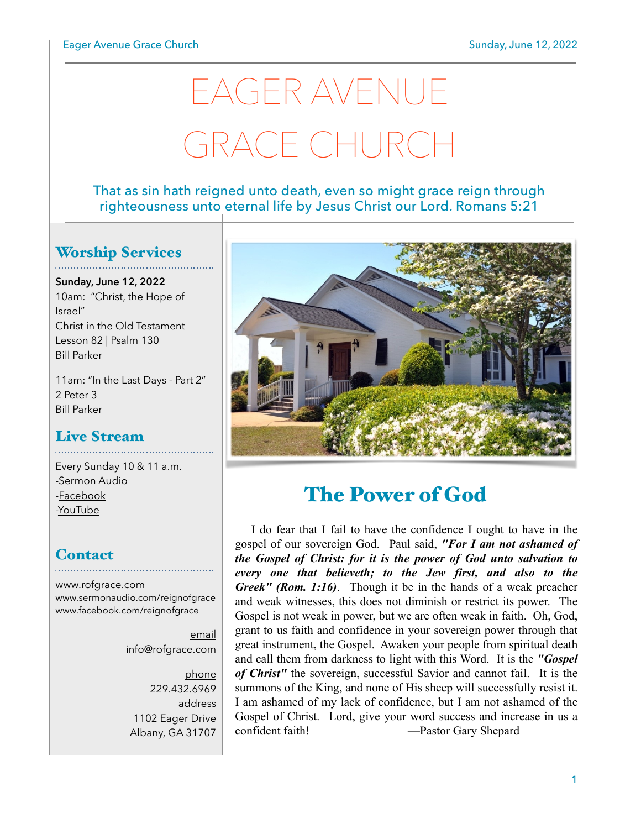# EAGER AVENUE GRACE CHURCH

#### That as sin hath reigned unto death, even so might grace reign through righteousness unto eternal life by Jesus Christ our Lord. Romans 5:21

#### Worship Services

**Sunday, June 12, 2022** 10am: "Christ, the Hope of Israel" Christ in the Old Testament Lesson 82 | Psalm 130 Bill Parker

11am: "In the Last Days - Part 2" 2 Peter 3 Bill Parker

#### Live Stream

Every Sunday 10 & 11 a.m. [-Sermon Audio](http://sermonaudio.com/reignofgrace) [-Facebook](http://facebook.com/eageravechurch) [-YouTube](http://youtube.com/channel/UCu_lTHCIUOK0cka9AjFV_5Q/live)

#### **Contact**

[www.rofgrace.com](http://www.rofgrace.com) [www.sermonaudio.com/reignofgrace](http://www.sermonaudio.com/reignofgrace) [www.facebook.com/reignofgrace](http://www.facebook.com/reignofgrace)

> email [info@rofgrace.com](mailto:info@rofgrace.com?subject=)

phone 229.432.6969 address 1102 Eager Drive Albany, GA 31707



## The Power of God

 I do fear that I fail to have the confidence I ought to have in the gospel of our sovereign God. Paul said, *"For I am not ashamed of the Gospel of Christ: for it is the power of God unto salvation to every one that believeth; to the Jew first, and also to the Greek" (Rom. 1:16)*. Though it be in the hands of a weak preacher and weak witnesses, this does not diminish or restrict its power. The Gospel is not weak in power, but we are often weak in faith. Oh, God, grant to us faith and confidence in your sovereign power through that great instrument, the Gospel. Awaken your people from spiritual death and call them from darkness to light with this Word. It is the *"Gospel of Christ"* the sovereign, successful Savior and cannot fail. It is the summons of the King, and none of His sheep will successfully resist it. I am ashamed of my lack of confidence, but I am not ashamed of the Gospel of Christ. Lord, give your word success and increase in us a confident faith! —Pastor Gary Shepard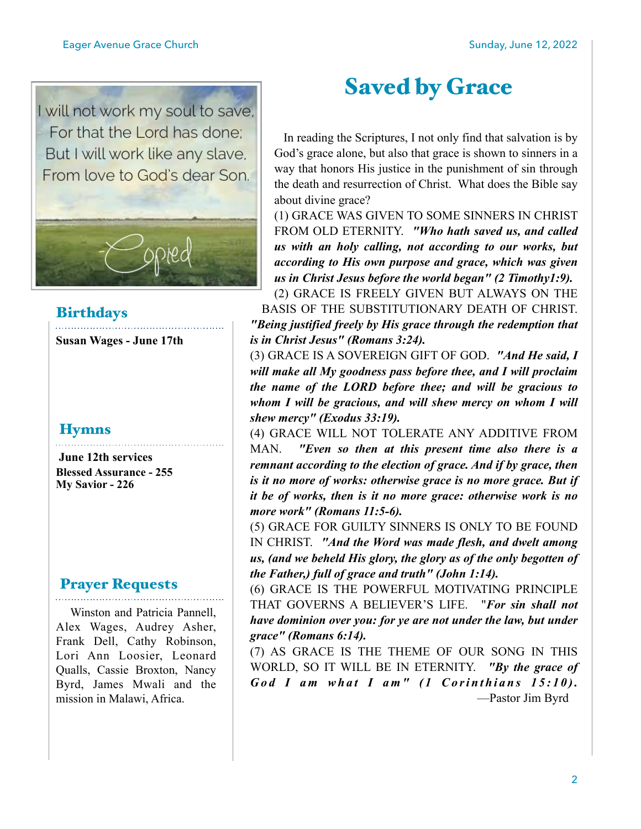

#### **Birthdays**

**Susan Wages - June 17th** 

#### **Hymns**

 **June 12th services Blessed Assurance - 255 My Savior - 226**

#### Prayer Requests

 Winston and Patricia Pannell, Alex Wages, Audrey Asher, Frank Dell, Cathy Robinson, Lori Ann Loosier, Leonard Qualls, Cassie Broxton, Nancy Byrd, James Mwali and the mission in Malawi, Africa.

# Saved by Grace

 In reading the Scriptures, I not only find that salvation is by God's grace alone, but also that grace is shown to sinners in a way that honors His justice in the punishment of sin through the death and resurrection of Christ. What does the Bible say about divine grace?

(1) GRACE WAS GIVEN TO SOME SINNERS IN CHRIST FROM OLD ETERNITY. *"Who hath saved us, and called us with an holy calling, not according to our works, but according to His own purpose and grace, which was given us in Christ Jesus before the world began" (2 Timothy1:9).*

(2) GRACE IS FREELY GIVEN BUT ALWAYS ON THE BASIS OF THE SUBSTITUTIONARY DEATH OF CHRIST. *"Being justified freely by His grace through the redemption that is in Christ Jesus" (Romans 3:24).*

(3) GRACE IS A SOVEREIGN GIFT OF GOD. *"And He said, I will make all My goodness pass before thee, and I will proclaim the name of the LORD before thee; and will be gracious to whom I will be gracious, and will shew mercy on whom I will shew mercy" (Exodus 33:19).*

(4) GRACE WILL NOT TOLERATE ANY ADDITIVE FROM MAN. *"Even so then at this present time also there is a remnant according to the election of grace. And if by grace, then is it no more of works: otherwise grace is no more grace. But if it be of works, then is it no more grace: otherwise work is no more work" (Romans 11:5-6).*

(5) GRACE FOR GUILTY SINNERS IS ONLY TO BE FOUND IN CHRIST. *"And the Word was made flesh, and dwelt among us, (and we beheld His glory, the glory as of the only begotten of the Father,) full of grace and truth" (John 1:14).*

(6) GRACE IS THE POWERFUL MOTIVATING PRINCIPLE THAT GOVERNS A BELIEVER'S LIFE. "*For sin shall not have dominion over you: for ye are not under the law, but under grace" (Romans 6:14).*

(7) AS GRACE IS THE THEME OF OUR SONG IN THIS WORLD, SO IT WILL BE IN ETERNITY. *"By the grace of God I am what I am" (1 Corinthians 15:10).* —Pastor Jim Byrd